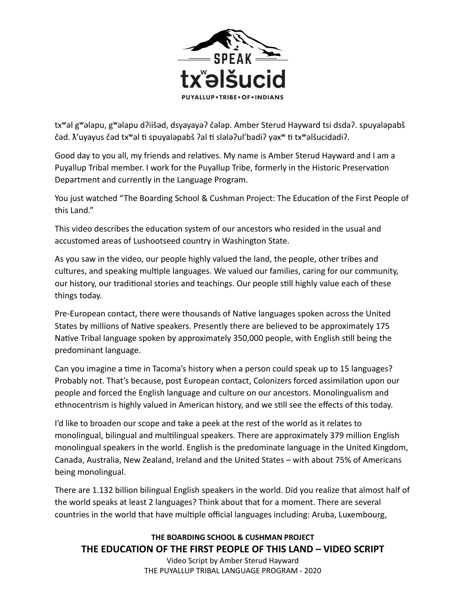

tx<sup>w</sup>əl g<sup>w</sup>əlapu, g<sup>w</sup>əlapu d?iišəd, dsyayayə? čələp. Amber Sterud Hayward tsi dsda?. spuyaləpabš čəd.  $\tilde{\Lambda}'$ uyayus čəd tx<sup>w</sup>əl ti spuyaləpabš ?al ti slələ?ul'badi? yəx<sup>w</sup> ti tx<sup>w</sup>əlšucidadi?.

Good day to you all, my friends and relatives. My name is Amber Sterud Hayward and I am a Puyallup Tribal member. I work for the Puyallup Tribe, formerly in the Historic Preservation Department and currently in the Language Program.

You just watched "The Boarding School & Cushman Project: The Education of the First People of this Land."

This video describes the education system of our ancestors who resided in the usual and accustomed areas of Lushootseed country in Washington State.

As you saw in the video, our people highly valued the land, the people, other tribes and cultures, and speaking multiple languages. We valued our families, caring for our community, our history, our traditional stories and teachings. Our people still highly value each of these things today.

Pre-European contact, there were thousands of Native languages spoken across the United States by millions of Native speakers. Presently there are believed to be approximately 175 Native Tribal language spoken by approximately 350,000 people, with English still being the predominant language.

Can you imagine a time in Tacoma's history when a person could speak up to 15 languages? Probably not. That's because, post European contact, Colonizers forced assimilation upon our people and forced the English language and culture on our ancestors. Monolingualism and ethnocentrism is highly valued in American history, and we still see the effects of this today.

I'd like to broaden our scope and take a peek at the rest of the world as it relates to monolingual, bilingual and multilingual speakers. There are approximately 379 million English monolingual speakers in the world. English is the predominate language in the United Kingdom, Canada, Australia, New Zealand, Ireland and the United States – with about 75% of Americans being monolingual.

There are 1.132 billion bilingual English speakers in the world. Did you realize that almost half of the world speaks at least 2 languages? Think about that for a moment. There are several countries in the world that have multiple official languages including: Aruba, Luxembourg,

## **THE BOARDING SCHOOL & CUSHMAN PROJECT THE EDUCATION OF THE FIRST PEOPLE OF THIS LAND – VIDEO SCRIPT**

Video Script by Amber Sterud Hayward THE PUYALLUP TRIBAL LANGUAGE PROGRAM - 2020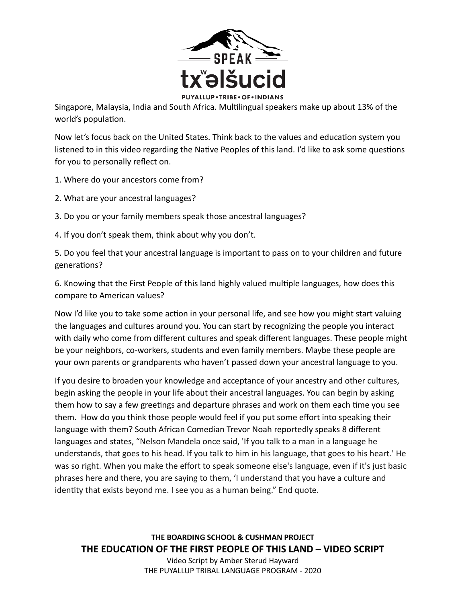

Singapore, Malaysia, India and South Africa. Multilingual speakers make up about 13% of the world's population.

Now let's focus back on the United States. Think back to the values and education system you listened to in this video regarding the Native Peoples of this land. I'd like to ask some questions for you to personally reflect on.

- 1. Where do your ancestors come from?
- 2. What are your ancestral languages?
- 3. Do you or your family members speak those ancestral languages?
- 4. If you don't speak them, think about why you don't.

5. Do you feel that your ancestral language is important to pass on to your children and future generations?

6. Knowing that the First People of this land highly valued multiple languages, how does this compare to American values?

Now I'd like you to take some action in your personal life, and see how you might start valuing the languages and cultures around you. You can start by recognizing the people you interact with daily who come from different cultures and speak different languages. These people might be your neighbors, co-workers, students and even family members. Maybe these people are your own parents or grandparents who haven't passed down your ancestral language to you.

If you desire to broaden your knowledge and acceptance of your ancestry and other cultures, begin asking the people in your life about their ancestral languages. You can begin by asking them how to say a few greetings and departure phrases and work on them each time you see them. How do you think those people would feel if you put some effort into speaking their language with them? South African Comedian Trevor Noah reportedly speaks 8 different languages and states, "Nelson Mandela once said, 'If you talk to a man in a language he understands, that goes to his head. If you talk to him in his language, that goes to his heart.' He was so right. When you make the effort to speak someone else's language, even if it's just basic phrases here and there, you are saying to them, 'I understand that you have a culture and identity that exists beyond me. I see you as a human being." End quote.

**THE BOARDING SCHOOL & CUSHMAN PROJECT THE EDUCATION OF THE FIRST PEOPLE OF THIS LAND – VIDEO SCRIPT** 

Video Script by Amber Sterud Hayward THE PUYALLUP TRIBAL LANGUAGE PROGRAM - 2020